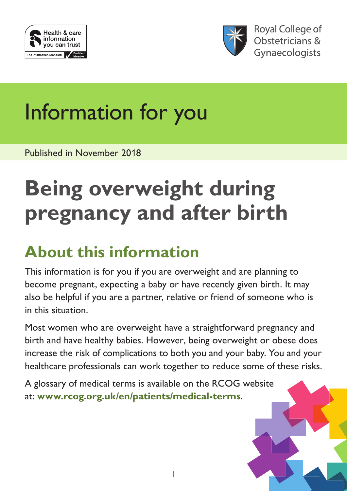



**Royal College of** Obstetricians & Gynaecologists

# Information for you

Published in November 2018

## **Being overweight during pregnancy and after birth**

### **About this information**

This information is for you if you are overweight and are planning to become pregnant, expecting a baby or have recently given birth. It may also be helpful if you are a partner, relative or friend of someone who is in this situation.

Most women who are overweight have a straightforward pregnancy and birth and have healthy babies. However, being overweight or obese does increase the risk of complications to both you and your baby. You and your healthcare professionals can work together to reduce some of these risks.

A glossary of medical terms is available on the RCOG website at: **[www.rcog.org.uk/en/patients/medical-terms](http://www.rcog.org.uk/en/patients/medical-terms)**.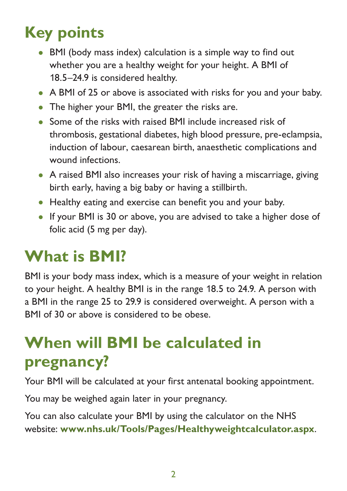### **Key points**

- BMI (body mass index) calculation is a simple way to find out whether you are a healthy weight for your height. A BMI of 18.5–24.9 is considered healthy.
- A BMI of 25 or above is associated with risks for you and your baby.
- The higher your BMI, the greater the risks are.
- Some of the risks with raised BMI include increased risk of thrombosis, gestational diabetes, high blood pressure, pre-eclampsia, induction of labour, caesarean birth, anaesthetic complications and wound infections.
- A raised BMI also increases your risk of having a miscarriage, giving birth early, having a big baby or having a stillbirth.
- Healthy eating and exercise can benefit you and your baby.
- If your BMI is 30 or above, you are advised to take a higher dose of folic acid (5 mg per day).

### **What is BMI?**

BMI is your body mass index, which is a measure of your weight in relation to your height. A healthy BMI is in the range 18.5 to 24.9. A person with a BMI in the range 25 to 29.9 is considered overweight. A person with a BMI of 30 or above is considered to be obese.

### **When will BMI be calculated in pregnancy?**

Your BMI will be calculated at your first antenatal booking appointment.

You may be weighed again later in your pregnancy.

You can also calculate your BMI by using the calculator on the NHS website: **[www.nhs.uk/Tools/Pages/Healthyweightcalculator.aspx](https://www.nhs.uk/Tools/Pages/Healthyweightcalculator.aspx)**.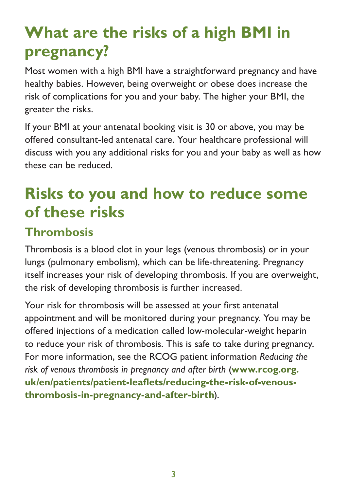### **What are the risks of a high BMI in pregnancy?**

Most women with a high BMI have a straightforward pregnancy and have healthy babies. However, being overweight or obese does increase the risk of complications for you and your baby. The higher your BMI, the greater the risks.

If your BMI at your antenatal booking visit is 30 or above, you may be offered consultant-led antenatal care. Your healthcare professional will discuss with you any additional risks for you and your baby as well as how these can be reduced.

### **Risks to you and how to reduce some of these risks**

#### **Thrombosis**

Thrombosis is a blood clot in your legs (venous thrombosis) or in your lungs (pulmonary embolism), which can be life-threatening. Pregnancy itself increases your risk of developing thrombosis. If you are overweight, the risk of developing thrombosis is further increased.

Your risk for thrombosis will be assessed at your first antenatal appointment and will be monitored during your pregnancy. You may be offered injections of a medication called low-molecular-weight heparin to reduce your risk of thrombosis. This is safe to take during pregnancy. For more information, see the RCOG patient information *Reducing the risk of venous thrombosis in pregnancy and after birth* (**[www.rcog.org.](https://www.rcog.org.uk/en/patients/patient-leaflets/reducing-the-risk-of-venous-thrombosis-in-pregnancy-and-after-birth) [uk/en/patients/patient-leaflets/reducing-the-risk-of-venous](https://www.rcog.org.uk/en/patients/patient-leaflets/reducing-the-risk-of-venous-thrombosis-in-pregnancy-and-after-birth)[thrombosis-in-pregnancy-and-after-birth](https://www.rcog.org.uk/en/patients/patient-leaflets/reducing-the-risk-of-venous-thrombosis-in-pregnancy-and-after-birth)**).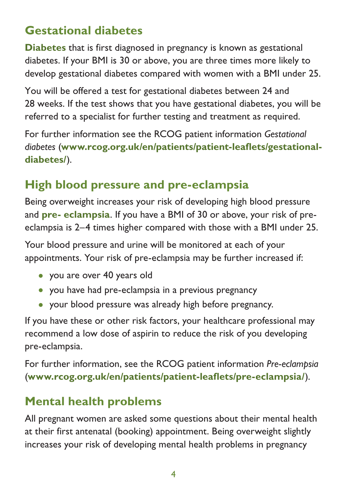#### **Gestational diabetes**

**Diabetes** that is first diagnosed in pregnancy is known as gestational diabetes. If your BMI is 30 or above, you are three times more likely to develop gestational diabetes compared with women with a BMI under 25.

You will be offered a test for gestational diabetes between 24 and 28 weeks. If the test shows that you have gestational diabetes, you will be referred to a specialist for further testing and treatment as required.

For further information see the RCOG patient information *Gestational diabetes* (**[www.rcog.org.uk/en/patients/patient-leaflets/gestational](https://www.rcog.org.uk/en/patients/patient-leaflets/gestational-diabetes/)[diabetes/](https://www.rcog.org.uk/en/patients/patient-leaflets/gestational-diabetes/)**).

#### **High blood pressure and pre-eclampsia**

Being overweight increases your risk of developing high blood pressure and **pre- eclampsia**. If you have a BMI of 30 or above, your risk of preeclampsia is 2–4 times higher compared with those with a BMI under 25.

Your blood pressure and urine will be monitored at each of your appointments. Your risk of pre-eclampsia may be further increased if:

- you are over 40 years old
- you have had pre-eclampsia in a previous pregnancy
- your blood pressure was already high before pregnancy.

If you have these or other risk factors, your healthcare professional may recommend a low dose of aspirin to reduce the risk of you developing pre-eclampsia.

For further information, see the RCOG patient information *Pre-eclampsia* (**[www.rcog.org.uk/en/patients/patient-leaflets/pre-eclampsia/](https://www.rcog.org.uk/en/patients/patient-leaflets/pre-eclampsia/)**).

#### **Mental health problems**

All pregnant women are asked some questions about their mental health at their first antenatal (booking) appointment. Being overweight slightly increases your risk of developing mental health problems in pregnancy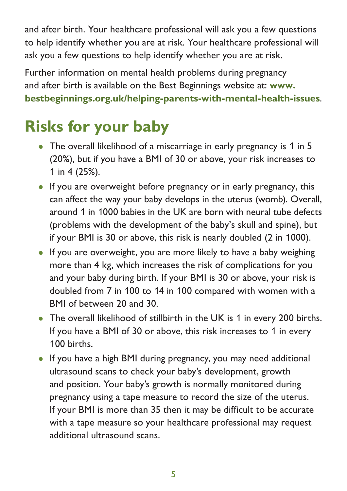and after birth. Your healthcare professional will ask you a few questions to help identify whether you are at risk. Your healthcare professional will ask you a few questions to help identify whether you are at risk.

Further information on mental health problems during pregnancy and after birth is available on the Best Beginnings website at: **[www.](https://www.bestbeginnings.org.uk/helping-parents-with-mental-health-issues) [bestbeginnings.org.uk/helping-parents-with-mental-health-issues](https://www.bestbeginnings.org.uk/helping-parents-with-mental-health-issues)**.

### **Risks for your baby**

- The overall likelihood of a miscarriage in early pregnancy is 1 in 5 (20%), but if you have a BMI of 30 or above, your risk increases to 1 in 4 (25%).
- If you are overweight before pregnancy or in early pregnancy, this can affect the way your baby develops in the uterus (womb). Overall, around 1 in 1000 babies in the UK are born with neural tube defects (problems with the development of the baby's skull and spine), but if your BMI is 30 or above, this risk is nearly doubled (2 in 1000).
- If you are overweight, you are more likely to have a baby weighing more than 4 kg, which increases the risk of complications for you and your baby during birth. If your BMI is 30 or above, your risk is doubled from 7 in 100 to 14 in 100 compared with women with a BMI of between 20 and 30.
- The overall likelihood of stillbirth in the UK is 1 in every 200 births. If you have a BMI of 30 or above, this risk increases to 1 in every 100 births.
- If you have a high BMI during pregnancy, you may need additional ultrasound scans to check your baby's development, growth and position. Your baby's growth is normally monitored during pregnancy using a tape measure to record the size of the uterus. If your BMI is more than 35 then it may be difficult to be accurate with a tape measure so your healthcare professional may request additional ultrasound scans.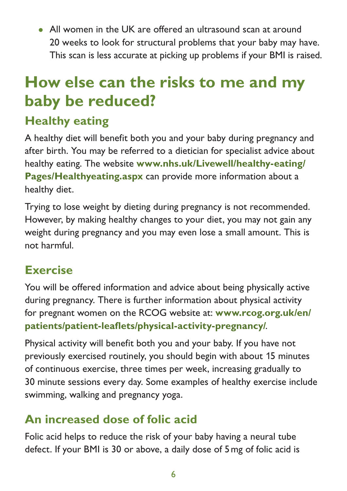• All women in the UK are offered an ultrasound scan at around 20 weeks to look for structural problems that your baby may have. This scan is less accurate at picking up problems if your BMI is raised.

### **How else can the risks to me and my baby be reduced?**

### **Healthy eating**

A healthy diet will benefit both you and your baby during pregnancy and after birth. You may be referred to a dietician for specialist advice about healthy eating. The website **[www.nhs.uk/Livewell/healthy-eating/](http://www.nhs.uk/Livewell/healthy-eating/Pages/Healthyeating.aspx) [Pages/Healthyeating.aspx](http://www.nhs.uk/Livewell/healthy-eating/Pages/Healthyeating.aspx)** can provide more information about a healthy diet.

Trying to lose weight by dieting during pregnancy is not recommended. However, by making healthy changes to your diet, you may not gain any weight during pregnancy and you may even lose a small amount. This is not harmful.

#### **Exercise**

You will be offered information and advice about being physically active during pregnancy. There is further information about physical activity for pregnant women on the RCOG website at: **[www.rcog.org.uk/en/](https://www.rcog.org.uk/en/patients/patient-leaflets/physical-activity-pregnancy/) [patients/patient-leaflets/physical-activity-pregnancy/](https://www.rcog.org.uk/en/patients/patient-leaflets/physical-activity-pregnancy/)**.

Physical activity will benefit both you and your baby. If you have not previously exercised routinely, you should begin with about 15 minutes of continuous exercise, three times per week, increasing gradually to 30 minute sessions every day. Some examples of healthy exercise include swimming, walking and pregnancy yoga.

#### **An increased dose of folic acid**

Folic acid helps to reduce the risk of your baby having a neural tube defect. If your BMI is 30 or above, a daily dose of 5mg of folic acid is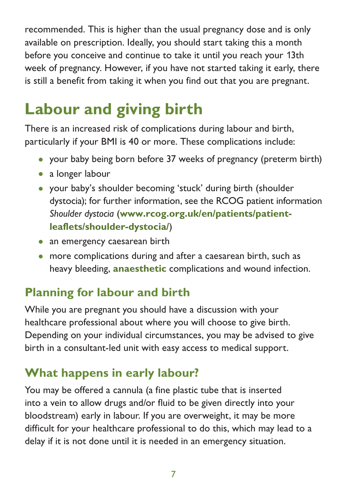recommended. This is higher than the usual pregnancy dose and is only available on prescription. Ideally, you should start taking this a month before you conceive and continue to take it until you reach your 13th week of pregnancy. However, if you have not started taking it early, there is still a benefit from taking it when you find out that you are pregnant.

### **Labour and giving birth**

There is an increased risk of complications during labour and birth, particularly if your BMI is 40 or more. These complications include:

- your baby being born before 37 weeks of pregnancy (preterm birth)
- a longer labour
- your baby's shoulder becoming 'stuck' during birth (shoulder dystocia); for further information, see the RCOG patient information *Shoulder dystocia* (**[www.rcog.org.uk/en/patients/patient](https://www.rcog.org.uk/en/patients/patient-leaflets/shoulder-dystocia/)[leaflets/shoulder-dystocia/](https://www.rcog.org.uk/en/patients/patient-leaflets/shoulder-dystocia/)**)
- an emergency caesarean birth
- more complications during and after a caesarean birth, such as heavy bleeding, **anaesthetic** complications and wound infection.

#### **Planning for labour and birth**

While you are pregnant you should have a discussion with your healthcare professional about where you will choose to give birth. Depending on your individual circumstances, you may be advised to give birth in a consultant-led unit with easy access to medical support.

#### **What happens in early labour?**

You may be offered a cannula (a fine plastic tube that is inserted into a vein to allow drugs and/or fluid to be given directly into your bloodstream) early in labour. If you are overweight, it may be more difficult for your healthcare professional to do this, which may lead to a delay if it is not done until it is needed in an emergency situation.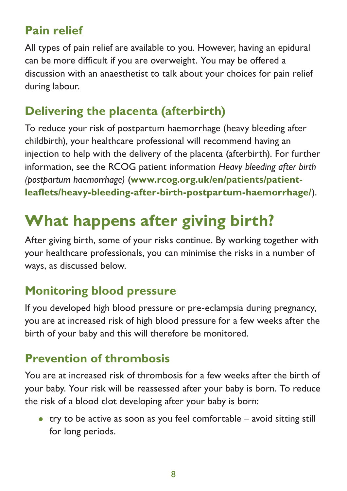#### **Pain relief**

All types of pain relief are available to you. However, having an epidural can be more difficult if you are overweight. You may be offered a discussion with an anaesthetist to talk about your choices for pain relief during labour.

#### **Delivering the placenta (afterbirth)**

To reduce your risk of postpartum haemorrhage (heavy bleeding after childbirth), your healthcare professional will recommend having an injection to help with the delivery of the placenta (afterbirth). For further information, see the RCOG patient information *Heavy bleeding after birth (postpartum haemorrhage)* (**[www.rcog.org.uk/en/patients/patient](https://www.rcog.org.uk/en/patients/patient-leaflets/heavy-bleeding-after-birth-postpartum-haemorrhage/)[leaflets/heavy-bleeding-after-birth-postpartum-haemorrhage/](https://www.rcog.org.uk/en/patients/patient-leaflets/heavy-bleeding-after-birth-postpartum-haemorrhage/)**).

## **What happens after giving birth?**

After giving birth, some of your risks continue. By working together with your healthcare professionals, you can minimise the risks in a number of ways, as discussed below.

#### **Monitoring blood pressure**

If you developed high blood pressure or pre-eclampsia during pregnancy, you are at increased risk of high blood pressure for a few weeks after the birth of your baby and this will therefore be monitored.

#### **Prevention of thrombosis**

You are at increased risk of thrombosis for a few weeks after the birth of your baby. Your risk will be reassessed after your baby is born. To reduce the risk of a blood clot developing after your baby is born:

• try to be active as soon as you feel comfortable – avoid sitting still for long periods.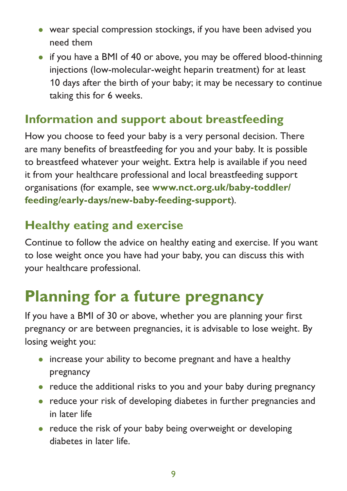- wear special compression stockings, if you have been advised you need them
- if you have a BMI of 40 or above, you may be offered blood-thinning injections (low-molecular-weight heparin treatment) for at least 10 days after the birth of your baby; it may be necessary to continue taking this for 6 weeks.

#### **Information and support about breastfeeding**

How you choose to feed your baby is a very personal decision. There are many benefits of breastfeeding for you and your baby. It is possible to breastfeed whatever your weight. Extra help is available if you need it from your healthcare professional and local breastfeeding support organisations (for example, see **[www.nct.org.uk/baby-toddler/](https://www.nct.org.uk/baby-toddler/feeding/early-days/new-baby-feeding-support) [feeding/early-days/new-baby-feeding-support](https://www.nct.org.uk/baby-toddler/feeding/early-days/new-baby-feeding-support)**).

#### **Healthy eating and exercise**

Continue to follow the advice on healthy eating and exercise. If you want to lose weight once you have had your baby, you can discuss this with your healthcare professional.

### **Planning for a future pregnancy**

If you have a BMI of 30 or above, whether you are planning your first pregnancy or are between pregnancies, it is advisable to lose weight. By losing weight you:

- increase your ability to become pregnant and have a healthy pregnancy
- reduce the additional risks to you and your baby during pregnancy
- reduce your risk of developing diabetes in further pregnancies and in later life
- reduce the risk of your baby being overweight or developing diabetes in later life.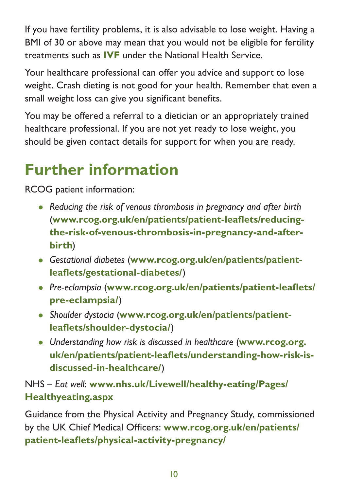If you have fertility problems, it is also advisable to lose weight. Having a BMI of 30 or above may mean that you would not be eligible for fertility treatments such as **IVF** under the National Health Service.

Your healthcare professional can offer you advice and support to lose weight. Crash dieting is not good for your health. Remember that even a small weight loss can give you significant benefits.

You may be offered a referral to a dietician or an appropriately trained healthcare professional. If you are not yet ready to lose weight, you should be given contact details for support for when you are ready.

### **Further information**

RCOG patient information:

- *Reducing the risk of venous thrombosis in pregnancy and after birth* (**[www.rcog.org.uk/en/patients/patient-leaflets/reducing](https://www.rcog.org.uk/en/patients/patient-leaflets/reducing-the-risk-of-venous-thrombosis-in-pregnancy-and-after-birth)[the-risk-of-venous-thrombosis-in-pregnancy-and-after](https://www.rcog.org.uk/en/patients/patient-leaflets/reducing-the-risk-of-venous-thrombosis-in-pregnancy-and-after-birth)[birth](https://www.rcog.org.uk/en/patients/patient-leaflets/reducing-the-risk-of-venous-thrombosis-in-pregnancy-and-after-birth)**)
- *Gestational diabetes* (**[www.rcog.org.uk/en/patients/patient](https://www.rcog.org.uk/en/patients/patient-leaflets/gestational-diabetes/)[leaflets/gestational-diabetes/](https://www.rcog.org.uk/en/patients/patient-leaflets/gestational-diabetes/)**)
- *Pre-eclampsia* (**[www.rcog.org.uk/en/patients/patient-leaflets/](https://www.rcog.org.uk/en/patients/patient-leaflets/pre-eclampsia/) [pre-eclampsia/](https://www.rcog.org.uk/en/patients/patient-leaflets/pre-eclampsia/)**)
- *Shoulder dystocia* (**[www.rcog.org.uk/en/patients/patient](https://www.rcog.org.uk/en/patients/patient-leaflets/shoulder-dystocia/)[leaflets/shoulder-dystocia/](https://www.rcog.org.uk/en/patients/patient-leaflets/shoulder-dystocia/)**)
- *Understanding how risk is discussed in healthcare* (**[www.rcog.org.](https://www.rcog.org.uk/en/patients/patient-leaflets/understanding-how-risk-is-discussed-in-healthcare/) [uk/en/patients/patient-leaflets/understanding-how-risk-is](https://www.rcog.org.uk/en/patients/patient-leaflets/understanding-how-risk-is-discussed-in-healthcare/)[discussed-in-healthcare/](https://www.rcog.org.uk/en/patients/patient-leaflets/understanding-how-risk-is-discussed-in-healthcare/)**)

NHS – *Eat well*: **[www.nhs.uk/Livewell/healthy-eating/Pages/](http://www.nhs.uk/Livewell/healthy-eating/Pages/Healthyeating.aspx) [Healthyeating.aspx](http://www.nhs.uk/Livewell/healthy-eating/Pages/Healthyeating.aspx)**

Guidance from the Physical Activity and Pregnancy Study, commissioned by the UK Chief Medical Officers: **[www.rcog.org.uk/en/patients/](https://www.rcog.org.uk/en/patients/patient-leaflets/physical-activity-pregnancy/) [patient-leaflets/physical-activity-pregnancy/](https://www.rcog.org.uk/en/patients/patient-leaflets/physical-activity-pregnancy/)**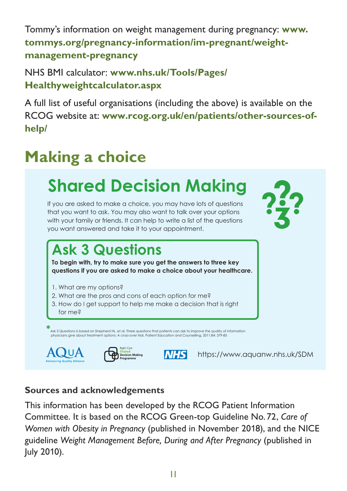Tommy's information on weight management during pregnancy: **[www.](https://www.tommys.org/pregnancy-information/im-pregnant/weight-management-pregnancy)**  $\tanh$  **[tommys.org/pregnancy-information/im-pregnant/weight](https://www.tommys.org/pregnancy-information/im-pregnant/weight-management-pregnancy)[management-pregnancy](https://www.tommys.org/pregnancy-information/im-pregnant/weight-management-pregnancy) ...is helping patients become involved "We want to know what's**

NHS BMI calculator: **[www.nhs.uk/Tools/Pages/](https://www.nhs.uk/Tools/Pages/Healthyweightcalculator.aspx) in their own healthcare decisions.\*** [Healthyweightcalculator.aspx](https://www.nhs.uk/Tools/Pages/Healthyweightcalculator.aspx)

A full list of useful organisations (including the above) is available on the RCOG website at: [www.rcog.org.uk/en/patients/other-sources-of](https://www.rcog.org.uk/en/patients/other-sources-of-help/)**[help/](https://www.rcog.org.uk/en/patients/other-sources-of-help/)** vebsite at: www.rcog.org.uk/en/patients/other-sources-ofcatalyst for shared decision making

#### **Making a choice** same treatment

#### Shared Decision Making **Care programme** to promote shared and **What you choose to do should depend on what is important to you.**

If you are asked to make a choice, you may have lots of questions that you want to ask. You may also want to talk over your options with your family or friends. It can help to write a list of the questions you want answered and take it to your appointment.

#### What are the **pros** and **cons** of each option for me? How do I get support to healthcare. **"I asked 3 Questions..."**

that is **right for me**?

### **Ask 3 Questions**

**To begin with, try to make sure you get the answers to three key questions if you are asked to make a choice about your healthcare.**

- 1. What are my options?
- 2. What are the pros and cons of each option for me?
- 3. How do I get support to help me make a decision that is right for me?

priysicians give about treatment \*<br>Ask 3 Questions is based on Shepherd HL, et al. Three questions that patients can ask to improve the quality of information<br>physicians give about treatment options: A cross-over trial. Patient Education and Counselling,





**NHS** 

**What's it all about?** <https://www.aquanw.nhs.uk/SDM>

#### **Sources and acknowledgements**

This information has been developed by the RCOG Patient Information Committee. It is based on the RCOG Green-top Guideline No.72, *Care of Women with Obesity in Pregnancy* (published in November 2018), and the NICE guideline *Weight Management Before, During and After Pregnancy* (published in July 2010).